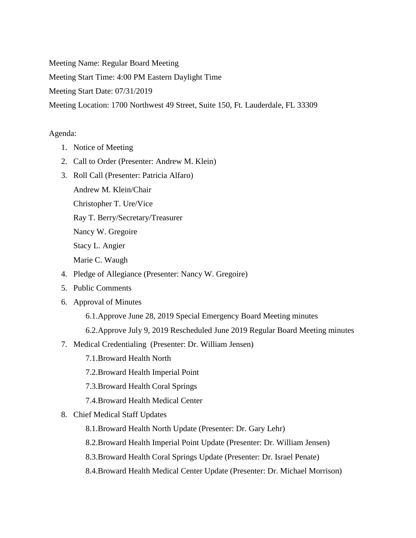Meeting Name: Regular Board Meeting

Meeting Start Time: 4:00 PM Eastern Daylight Time

Meeting Start Date: 07/31/2019

Meeting Location: 1700 Northwest 49 Street, Suite 150, Ft. Lauderdale, FL 33309

## Agenda:

- 1. Notice of Meeting
- 2. Call to Order (Presenter: Andrew M. Klein)
- 3. Roll Call (Presenter: Patricia Alfaro)
	- Andrew M. Klein/Chair

Christopher T. Ure/Vice

Ray T. Berry/Secretary/Treasurer

Nancy W. Gregoire

Stacy L. Angier

Marie C. Waugh

- 4. Pledge of Allegiance (Presenter: Nancy W. Gregoire)
- 5. Public Comments
- 6. Approval of Minutes
	- 6.1.Approve June 28, 2019 Special Emergency Board Meeting minutes
	- 6.2.Approve July 9, 2019 Rescheduled June 2019 Regular Board Meeting minutes
- 7. Medical Credentialing (Presenter: Dr. William Jensen)
	- 7.1.Broward Health North
	- 7.2.Broward Health Imperial Point
	- 7.3.Broward Health Coral Springs
	- 7.4.Broward Health Medical Center
- 8. Chief Medical Staff Updates
	- 8.1.Broward Health North Update (Presenter: Dr. Gary Lehr)
	- 8.2.Broward Health Imperial Point Update (Presenter: Dr. William Jensen)
	- 8.3.Broward Health Coral Springs Update (Presenter: Dr. Israel Penate)
	- 8.4.Broward Health Medical Center Update (Presenter: Dr. Michael Morrison)